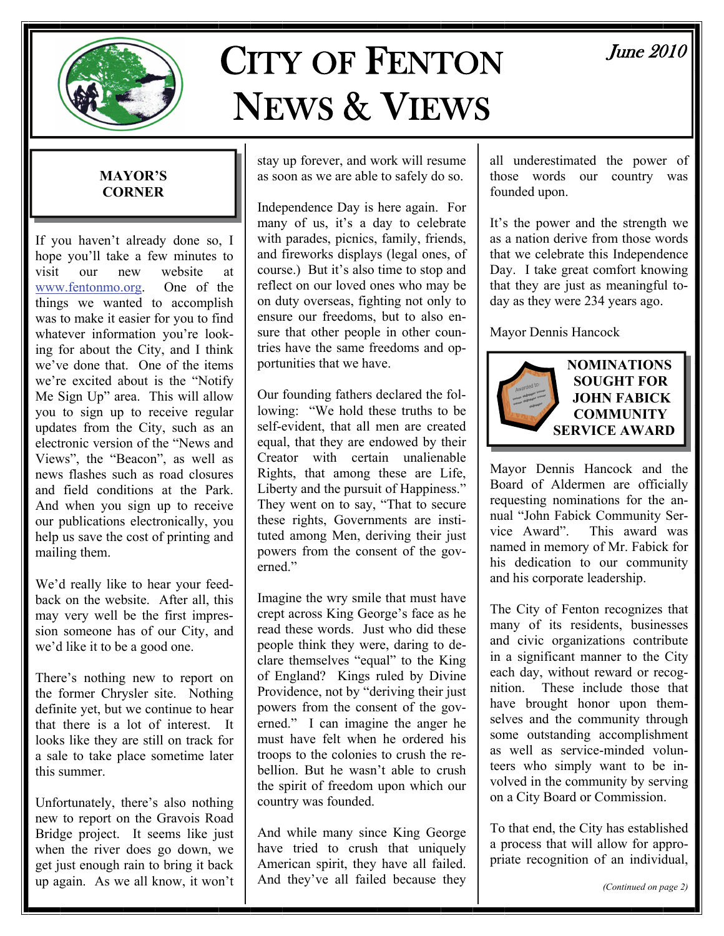

# CITY OF FENTON NEWS & VIEWS

### June 2010

#### **MAYOR'S CORNER**

If you haven't already done so, I hope you'll take a few minutes to visit our new website at [www.fentonmo.org.](http://www.fentonmo.org/) One of the things we wanted to accomplish was to make it easier for you to find whatever information you're looking for about the City, and I think we've done that. One of the items we're excited about is the "Notify Me Sign Up" area. This will allow you to sign up to receive regular updates from the City, such as an electronic version of the "News and Views", the "Beacon", as well as news flashes such as road closures and field conditions at the Park. And when you sign up to receive our publications electronically, you help us save the cost of printing and mailing them.

We'd really like to hear your feedback on the website. After all, this may very well be the first impression someone has of our City, and we'd like it to be a good one.

There's nothing new to report on the former Chrysler site. Nothing definite yet, but we continue to hear that there is a lot of interest. It looks like they are still on track for a sale to take place sometime later this summer.

Unfortunately, there's also nothing new to report on the Gravois Road Bridge project. It seems like just when the river does go down, we get just enough rain to bring it back up again. As we all know, it won't

stay up forever, and work will resume as soon as we are able to safely do so.

Independence Day is here again. For many of us, it's a day to celebrate with parades, picnics, family, friends, and fireworks displays (legal ones, of course.) But it's also time to stop and reflect on our loved ones who may be on duty overseas, fighting not only to ensure our freedoms, but to also ensure that other people in other countries have the same freedoms and opportunities that we have.

Our founding fathers declared the following: "We hold these truths to be self-evident, that all men are created equal, that they are endowed by their Creator with certain unalienable Rights, that among these are Life, Liberty and the pursuit of Happiness." They went on to say, "That to secure these rights, Governments are instituted among Men, deriving their just powers from the consent of the governed."

Imagine the wry smile that must have crept across King George's face as he read these words. Just who did these people think they were, daring to declare themselves "equal" to the King of England? Kings ruled by Divine Providence, not by "deriving their just powers from the consent of the governed." I can imagine the anger he must have felt when he ordered his troops to the colonies to crush the rebellion. But he wasn't able to crush the spirit of freedom upon which our country was founded.

And while many since King George have tried to crush that uniquely American spirit, they have all failed. And they've all failed because they all underestimated the power of those words our country was founded upon.

It's the power and the strength we as a nation derive from those words that we celebrate this Independence Day. I take great comfort knowing that they are just as meaningful today as they were 234 years ago.

Mayor Dennis Hancock



Mayor Dennis Hancock and the Board of Aldermen are officially requesting nominations for the annual "John Fabick Community Service Award". This award was named in memory of Mr. Fabick for his dedication to our community and his corporate leadership.

The City of Fenton recognizes that many of its residents, businesses and civic organizations contribute in a significant manner to the City each day, without reward or recognition. These include those that have brought honor upon themselves and the community through some outstanding accomplishment as well as service-minded volunteers who simply want to be involved in the community by serving on a City Board or Commission.

To that end, the City has established a process that will allow for appropriate recognition of an individual,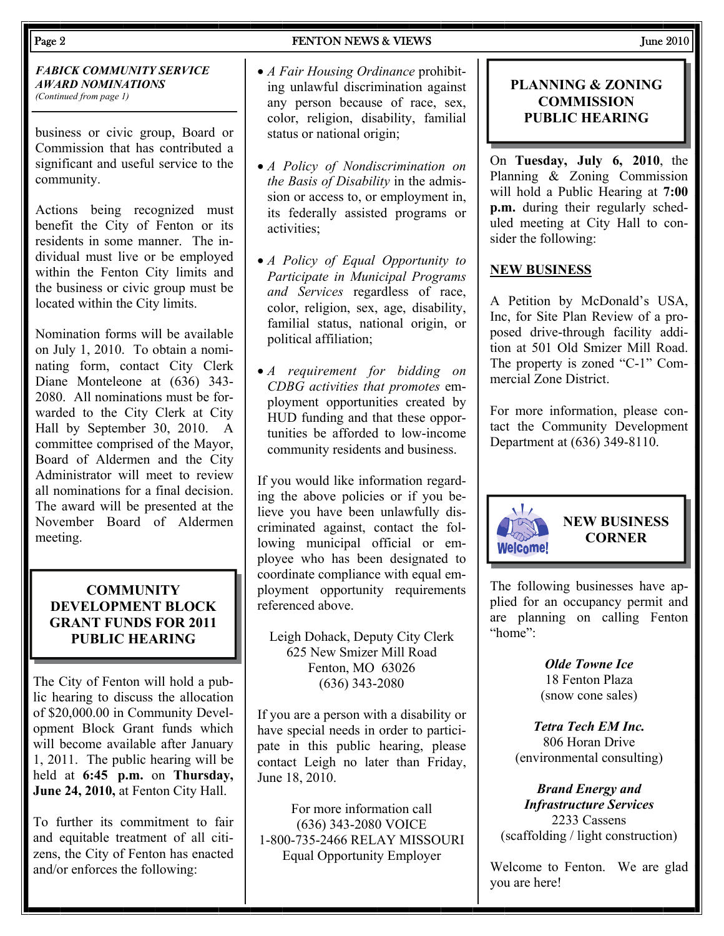*FABICK COMMUNITY SERVICE AWARD NOMINATIONS (Continued from page 1)* 

business or civic group, Board or Commission that has contributed a significant and useful service to the community.

Actions being recognized must benefit the City of Fenton or its residents in some manner. The individual must live or be employed within the Fenton City limits and the business or civic group must be located within the City limits.

Nomination forms will be available on July 1, 2010. To obtain a nominating form, contact City Clerk Diane Monteleone at (636) 343- 2080. All nominations must be forwarded to the City Clerk at City Hall by September 30, 2010. A committee comprised of the Mayor, Board of Aldermen and the City Administrator will meet to review all nominations for a final decision. The award will be presented at the November Board of Aldermen meeting.

#### **COMMUNITY DEVELOPMENT BLOCK GRANT FUNDS FOR 2011 PUBLIC HEARING**

The City of Fenton will hold a public hearing to discuss the allocation of \$20,000.00 in Community Development Block Grant funds which will become available after January 1, 2011. The public hearing will be held at **6:45 p.m.** on **Thursday, June 24, 2010,** at Fenton City Hall.

To further its commitment to fair and equitable treatment of all citizens, the City of Fenton has enacted and/or enforces the following:

- *A Fair Housing Ordinance* prohibiting unlawful discrimination against any person because of race, sex, color, religion, disability, familial status or national origin;
- *A Policy of Nondiscrimination on the Basis of Disability* in the admission or access to, or employment in, its federally assisted programs or activities;
- *A Policy of Equal Opportunity to Participate in Municipal Programs and Services* regardless of race, color, religion, sex, age, disability, familial status, national origin, or political affiliation;
- *A requirement for bidding on CDBG activities that promotes* employment opportunities created by HUD funding and that these opportunities be afforded to low-income community residents and business.

If you would like information regarding the above policies or if you believe you have been unlawfully discriminated against, contact the following municipal official or employee who has been designated to coordinate compliance with equal employment opportunity requirements referenced above.

Leigh Dohack, Deputy City Clerk 625 New Smizer Mill Road Fenton, MO 63026 (636) 343-2080

If you are a person with a disability or have special needs in order to participate in this public hearing, please contact Leigh no later than Friday, June 18, 2010.

For more information call (636) 343-2080 VOICE 1-800-735-2466 RELAY MISSOURI Equal Opportunity Employer

#### **PLANNING & ZONING COMMISSION PUBLIC HEARING**

On **Tuesday, July 6, 2010**, the Planning & Zoning Commission will hold a Public Hearing at **7:00 p.m.** during their regularly scheduled meeting at City Hall to consider the following:

#### **NEW BUSINESS**

A Petition by McDonald's USA, Inc, for Site Plan Review of a proposed drive-through facility addition at 501 Old Smizer Mill Road. The property is zoned "C-1" Commercial Zone District.

For more information, please contact the Community Development Department at (636) 349-8110.



The following businesses have applied for an occupancy permit and are planning on calling Fenton "home":

> *Olde Towne Ice*  18 Fenton Plaza (snow cone sales)

*Tetra Tech EM Inc.*  806 Horan Drive (environmental consulting)

*Brand Energy and Infrastructure Services*  2233 Cassens (scaffolding / light construction)

Welcome to Fenton. We are glad you are here!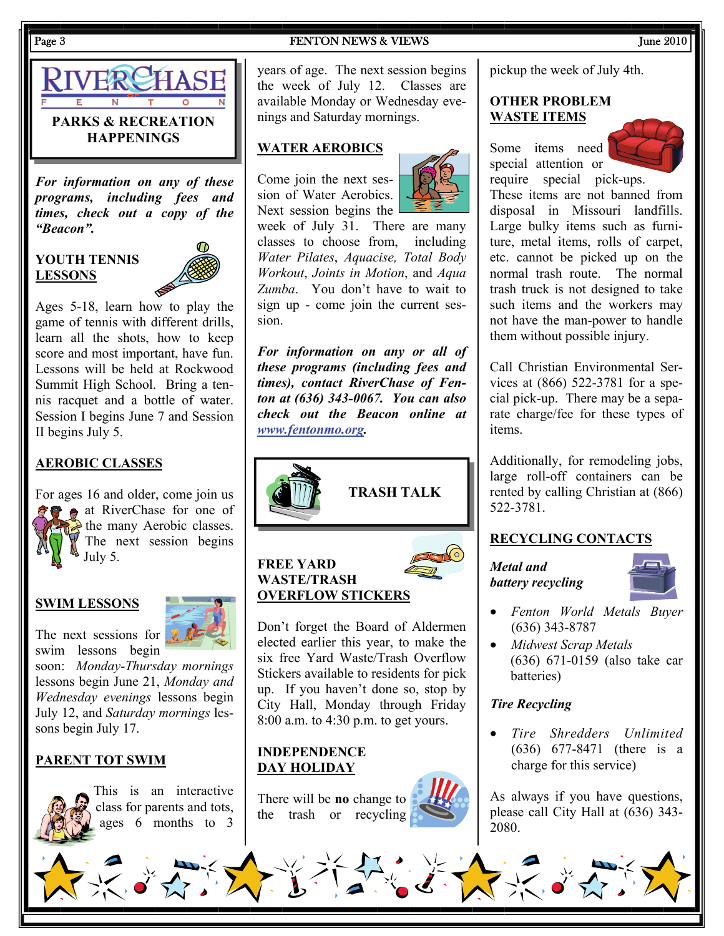

*For information on any of these programs, including fees and times, check out a copy of the "Beacon".* 

#### **YOUTH TENNIS LESSONS**



Ages 5-18, learn how to play the game of tennis with different drills, learn all the shots, how to keep score and most important, have fun. Lessons will be held at Rockwood Summit High School. Bring a tennis racquet and a bottle of water. Session I begins June 7 and Session II begins July 5.

#### **AEROBIC CLASSES**

For ages 16 and older, come join us at RiverChase for one of the many Aerobic classes. The next session begins July 5.

#### **SWIM LESSONS**



The next sessions for swim lessons begin

soon: *Monday-Thursday mornings* lessons begin June 21, *Monday and Wednesday evenings* lessons begin July 12, and *Saturday mornings* lessons begin July 17.

### **PARENT TOT SWIM**



This is an interactive class for parents and tots, ages 6 months to 3

years of age. The next session begins the week of July 12. Classes are available Monday or Wednesday evenings and Saturday mornings.

#### **WATER AEROBICS**

Come join the next session of Water Aerobics. Next session begins the



week of July 31. There are many classes to choose from, including *Water Pilates*, *Aquacise, Total Body Workout*, *Joints in Motion*, and *Aqua Zumba*. You don't have to wait to sign up - come join the current session.

*For information on any or all of these programs (including fees and times), contact RiverChase of Fenton at (636) 343-0067. You can also check out the Beacon online at [www.fentonmo.org](http://www.fentonmo.org).*



#### **FREE YARD WASTE/TRASH OVERFLOW STICKERS**

Don't forget the Board of Aldermen elected earlier this year, to make the six free Yard Waste/Trash Overflow Stickers available to residents for pick up. If you haven't done so, stop by City Hall, Monday through Friday 8:00 a.m. to 4:30 p.m. to get yours.

#### **INDEPENDENCE DAY HOLIDAY**

There will be **no** change to the trash or recycling



pickup the week of July 4th.

#### **OTHER PROBLEM WASTE ITEMS**

Some items need special attention or require special pick-ups.



These items are not banned from disposal in Missouri landfills. Large bulky items such as furniture, metal items, rolls of carpet, etc. cannot be picked up on the normal trash route. The normal trash truck is not designed to take such items and the workers may not have the man-power to handle them without possible injury.

Call Christian Environmental Services at (866) 522-3781 for a special pick-up. There may be a separate charge/fee for these types of items.

Additionally, for remodeling jobs, large roll-off containers can be rented by calling Christian at (866) 522-3781.

#### **RECYCLING CONTACTS**

*Metal and battery recycling* 



- *Fenton World Metals Buyer* (636) 343-8787
- *Midwest Scrap Metals* (636) 671-0159 (also take car batteries)

#### *Tire Recycling*

• *Tire Shredders Unlimited* (636) 677-8471 (there is a charge for this service)

As always if you have questions, please call City Hall at (636) 343- 2080.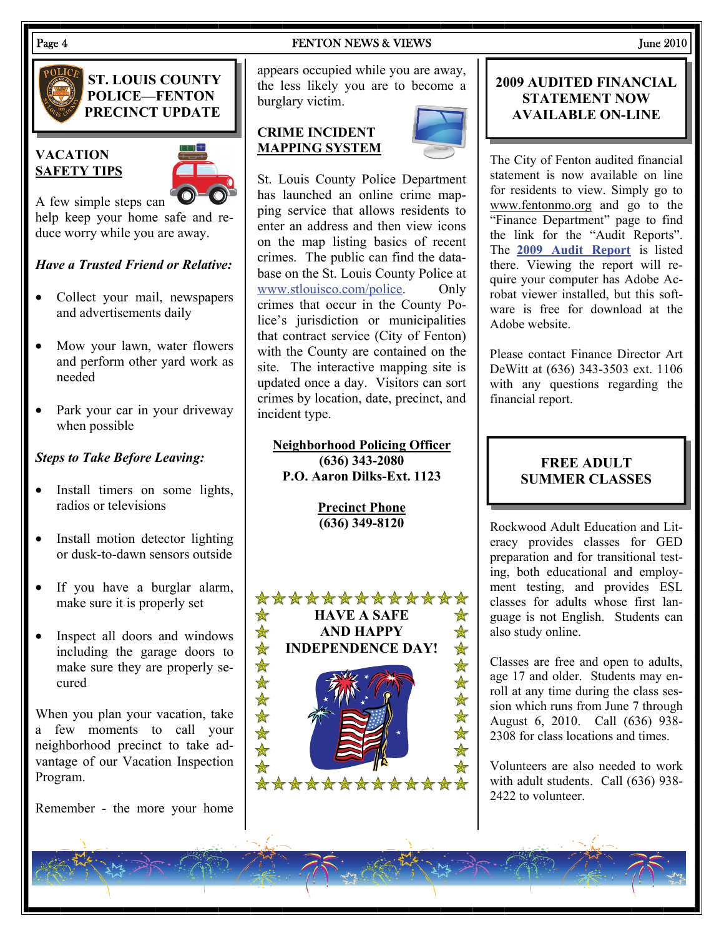#### **ST. LOUIS COUNTY POLICE—FENTON PRECINCT UPDATE**

#### **VACATION SAFETY TIPS**



A few simple steps can help keep your home safe and reduce worry while you are away.

### *Have a Trusted Friend or Relative:*

- Collect your mail, newspapers and advertisements daily
- Mow your lawn, water flowers and perform other yard work as needed
- Park your car in your driveway when possible

#### *Steps to Take Before Leaving:*

- Install timers on some lights, radios or televisions
- Install motion detector lighting or dusk-to-dawn sensors outside
- If you have a burglar alarm, make sure it is properly set
- Inspect all doors and windows including the garage doors to make sure they are properly secured

When you plan your vacation, take a few moments to call your neighborhood precinct to take advantage of our Vacation Inspection Program.

Remember - the more your home

appears occupied while you are away, the less likely you are to become a burglary victim.

#### **CRIME INCIDENT MAPPING SYSTEM**



St. Louis County Police Department has launched an online crime mapping service that allows residents to enter an address and then view icons on the map listing basics of recent crimes. The public can find the database on the St. Louis County Police at [www.stlouisco.com/police](http://www.stlouisco.com/police). Only crimes that occur in the County Police's jurisdiction or municipalities that contract service (City of Fenton) with the County are contained on the site. The interactive mapping site is updated once a day. Visitors can sort crimes by location, date, precinct, and incident type.

**Neighborhood Policing Officer (636) 343-2080 P.O. Aaron Dilks-Ext. 1123** 

> **Precinct Phone (636) 349-8120**



### **2009 AUDITED FINANCIAL STATEMENT NOW AVAILABLE ON-LINE**

The City of Fenton audited financial statement is now available on line for residents to view. Simply go to <www.fentonmo.org> and go to the "Finance Department" page to find the link for the "Audit Reports". The **[2009 Audit Report](http://www.fentonmo.org/DocumentView.aspx?DID=401)** is listed there. Viewing the report will require your computer has Adobe Acrobat viewer installed, but this software is free for download at the Adobe website.

Please contact Finance Director Art DeWitt at (636) 343-3503 ext. 1106 with any questions regarding the financial report.

#### **FREE ADULT SUMMER CLASSES**

Rockwood Adult Education and Literacy provides classes for GED preparation and for transitional testing, both educational and employment testing, and provides ESL classes for adults whose first language is not English. Students can also study online.

Classes are free and open to adults, age 17 and older. Students may enroll at any time during the class session which runs from June 7 through August 6, 2010. Call (636) 938- 2308 for class locations and times.

Volunteers are also needed to work with adult students. Call (636) 938- 2422 to volunteer.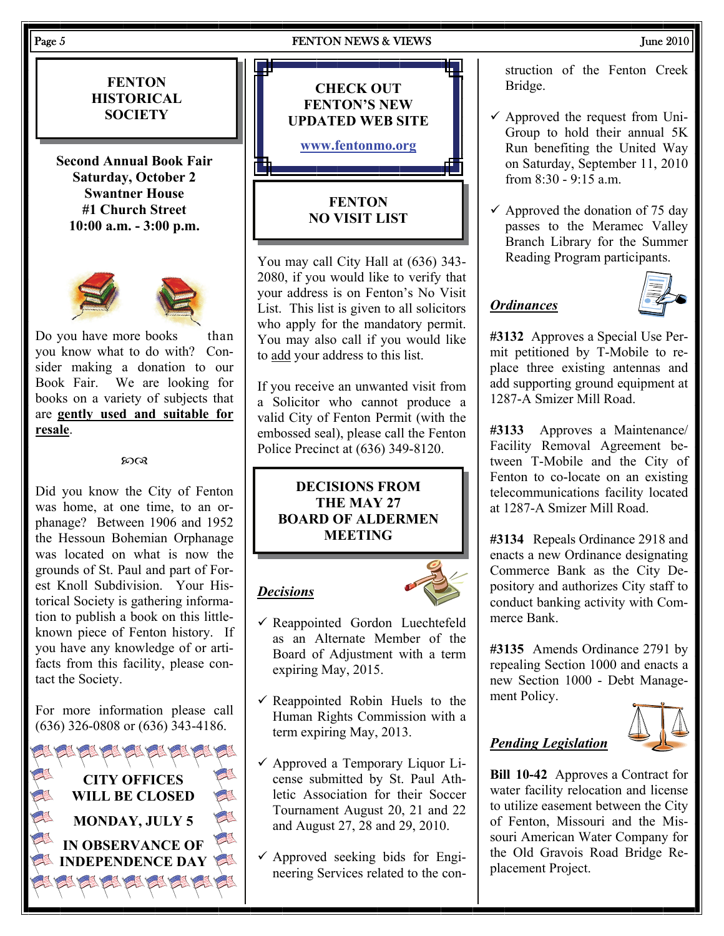#### Page 5 June 2010

**FENTON HISTORICAL SOCIETY** 

**Second Annual Book Fair Saturday, October 2 Swantner House #1 Church Street 10:00 a.m. - 3:00 p.m.** 



Do you have more books than you know what to do with? Consider making a donation to our Book Fair. We are looking for books on a variety of subjects that are **gently used and suitable for resale**.

#### $20Q$

Did you know the City of Fenton was home, at one time, to an orphanage? Between 1906 and 1952 the Hessoun Bohemian Orphanage was located on what is now the grounds of St. Paul and part of Forest Knoll Subdivision. Your Historical Society is gathering information to publish a book on this littleknown piece of Fenton history. If you have any knowledge of or artifacts from this facility, please contact the Society.

For more information please call (636) 326-0808 or (636) 343-4186.



**CHECK OUT FENTON'S NEW UPDATED WEB SITE [www.fentonmo.org](http://www.fentonmo.org) FENTON** 

## **NO VISIT LIST**

You may call City Hall at (636) 343- 2080, if you would like to verify that your address is on Fenton's No Visit List. This list is given to all solicitors who apply for the mandatory permit. You may also call if you would like to add your address to this list.

If you receive an unwanted visit from a Solicitor who cannot produce a valid City of Fenton Permit (with the embossed seal), please call the Fenton Police Precinct at (636) 349-8120.

#### **DECISIONS FROM THE MAY 27 BOARD OF ALDERMEN MEETING**

#### *Decisions*



- $\checkmark$  Reappointed Gordon Luechtefeld as an Alternate Member of the Board of Adjustment with a term expiring May, 2015.
- $\checkmark$  Reappointed Robin Huels to the Human Rights Commission with a term expiring May, 2013.
- $\checkmark$  Approved a Temporary Liquor License submitted by St. Paul Athletic Association for their Soccer Tournament August 20, 21 and 22 and August 27, 28 and 29, 2010.
- $\checkmark$  Approved seeking bids for Engineering Services related to the con-

struction of the Fenton Creek Bridge.

- $\checkmark$  Approved the request from Uni-Group to hold their annual 5K Run benefiting the United Way on Saturday, September 11, 2010 from  $8.30 - 9.15$  a.m.
- $\checkmark$  Approved the donation of 75 day passes to the Meramec Valley Branch Library for the Summer Reading Program participants.

#### *Ordinances*



**#3132** Approves a Special Use Permit petitioned by T-Mobile to replace three existing antennas and add supporting ground equipment at 1287-A Smizer Mill Road.

**#3133** Approves a Maintenance/ Facility Removal Agreement between T-Mobile and the City of Fenton to co-locate on an existing telecommunications facility located at 1287-A Smizer Mill Road.

**#3134** Repeals Ordinance 2918 and enacts a new Ordinance designating Commerce Bank as the City Depository and authorizes City staff to conduct banking activity with Commerce Bank.

**#3135** Amends Ordinance 2791 by repealing Section 1000 and enacts a new Section 1000 - Debt Management Policy.



#### *Pending Legislation*

**Bill 10-42** Approves a Contract for water facility relocation and license to utilize easement between the City of Fenton, Missouri and the Missouri American Water Company for the Old Gravois Road Bridge Replacement Project.